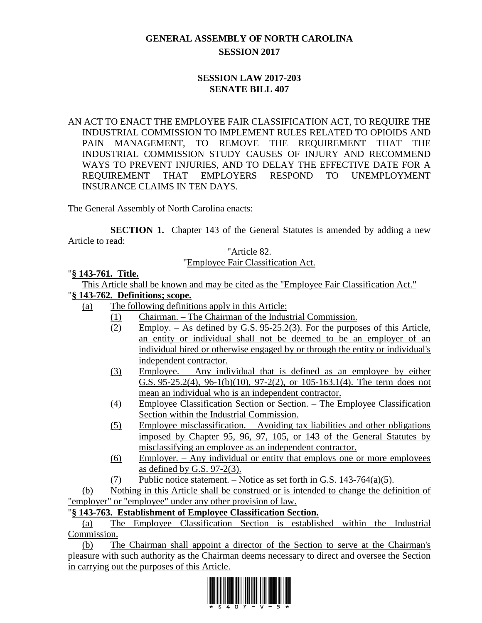# **GENERAL ASSEMBLY OF NORTH CAROLINA SESSION 2017**

### **SESSION LAW 2017-203 SENATE BILL 407**

AN ACT TO ENACT THE EMPLOYEE FAIR CLASSIFICATION ACT, TO REQUIRE THE INDUSTRIAL COMMISSION TO IMPLEMENT RULES RELATED TO OPIOIDS AND PAIN MANAGEMENT, TO REMOVE THE REQUIREMENT THAT THE INDUSTRIAL COMMISSION STUDY CAUSES OF INJURY AND RECOMMEND WAYS TO PREVENT INJURIES, AND TO DELAY THE EFFECTIVE DATE FOR A REQUIREMENT THAT EMPLOYERS RESPOND TO UNEMPLOYMENT INSURANCE CLAIMS IN TEN DAYS.

The General Assembly of North Carolina enacts:

**SECTION 1.** Chapter 143 of the General Statutes is amended by adding a new Article to read:

#### "Article 82. "Employee Fair Classification Act.

#### "**§ 143-761. Title.**

This Article shall be known and may be cited as the "Employee Fair Classification Act."

### "**§ 143-762. Definitions; scope.**

- (a) The following definitions apply in this Article:
	- (1) Chairman. The Chairman of the Industrial Commission.
	- (2) Employ. As defined by G.S. 95-25.2(3). For the purposes of this Article, an entity or individual shall not be deemed to be an employer of an individual hired or otherwise engaged by or through the entity or individual's independent contractor.
	- (3) Employee. Any individual that is defined as an employee by either G.S. 95-25.2(4), 96-1(b)(10), 97-2(2), or 105-163.1(4). The term does not mean an individual who is an independent contractor.
	- (4) Employee Classification Section or Section. The Employee Classification Section within the Industrial Commission.
	- (5) Employee misclassification. Avoiding tax liabilities and other obligations imposed by Chapter 95, 96, 97, 105, or 143 of the General Statutes by misclassifying an employee as an independent contractor.
	- (6) Employer. Any individual or entity that employs one or more employees as defined by G.S. 97-2(3).
	- $(7)$  Public notice statement. Notice as set forth in G.S. 143-764(a)(5).

(b) Nothing in this Article shall be construed or is intended to change the definition of "employer" or "employee" under any other provision of law.

# "**§ 143-763. Establishment of Employee Classification Section.**

(a) The Employee Classification Section is established within the Industrial Commission.

(b) The Chairman shall appoint a director of the Section to serve at the Chairman's pleasure with such authority as the Chairman deems necessary to direct and oversee the Section in carrying out the purposes of this Article.

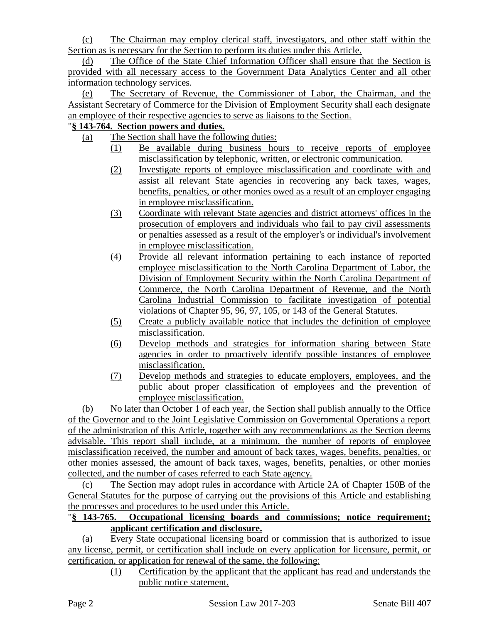(c) The Chairman may employ clerical staff, investigators, and other staff within the Section as is necessary for the Section to perform its duties under this Article.

(d) The Office of the State Chief Information Officer shall ensure that the Section is provided with all necessary access to the Government Data Analytics Center and all other information technology services.

(e) The Secretary of Revenue, the Commissioner of Labor, the Chairman, and the Assistant Secretary of Commerce for the Division of Employment Security shall each designate an employee of their respective agencies to serve as liaisons to the Section.

# "**§ 143-764. Section powers and duties.**

- (a) The Section shall have the following duties:
	- (1) Be available during business hours to receive reports of employee misclassification by telephonic, written, or electronic communication.
	- (2) Investigate reports of employee misclassification and coordinate with and assist all relevant State agencies in recovering any back taxes, wages, benefits, penalties, or other monies owed as a result of an employer engaging in employee misclassification.
	- (3) Coordinate with relevant State agencies and district attorneys' offices in the prosecution of employers and individuals who fail to pay civil assessments or penalties assessed as a result of the employer's or individual's involvement in employee misclassification.
	- (4) Provide all relevant information pertaining to each instance of reported employee misclassification to the North Carolina Department of Labor, the Division of Employment Security within the North Carolina Department of Commerce, the North Carolina Department of Revenue, and the North Carolina Industrial Commission to facilitate investigation of potential violations of Chapter 95, 96, 97, 105, or 143 of the General Statutes.
	- (5) Create a publicly available notice that includes the definition of employee misclassification.
	- (6) Develop methods and strategies for information sharing between State agencies in order to proactively identify possible instances of employee misclassification.
	- (7) Develop methods and strategies to educate employers, employees, and the public about proper classification of employees and the prevention of employee misclassification.

(b) No later than October 1 of each year, the Section shall publish annually to the Office of the Governor and to the Joint Legislative Commission on Governmental Operations a report of the administration of this Article, together with any recommendations as the Section deems advisable. This report shall include, at a minimum, the number of reports of employee misclassification received, the number and amount of back taxes, wages, benefits, penalties, or other monies assessed, the amount of back taxes, wages, benefits, penalties, or other monies collected, and the number of cases referred to each State agency.

(c) The Section may adopt rules in accordance with Article 2A of Chapter 150B of the General Statutes for the purpose of carrying out the provisions of this Article and establishing the processes and procedures to be used under this Article.

## "**§ 143-765. Occupational licensing boards and commissions; notice requirement; applicant certification and disclosure.**

(a) Every State occupational licensing board or commission that is authorized to issue any license, permit, or certification shall include on every application for licensure, permit, or certification, or application for renewal of the same, the following:

(1) Certification by the applicant that the applicant has read and understands the public notice statement.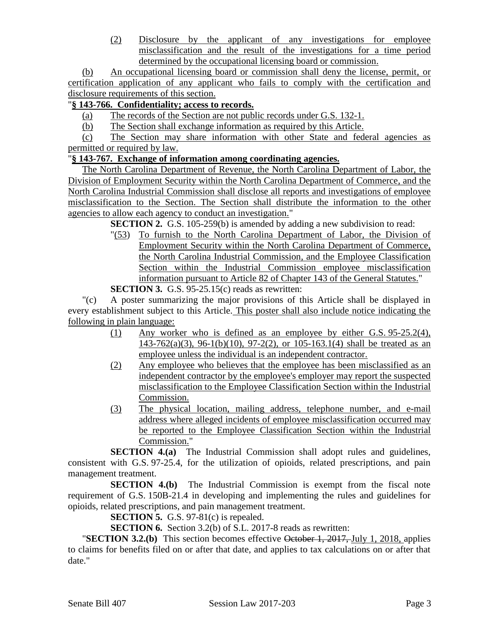(2) Disclosure by the applicant of any investigations for employee misclassification and the result of the investigations for a time period determined by the occupational licensing board or commission.

(b) An occupational licensing board or commission shall deny the license, permit, or certification application of any applicant who fails to comply with the certification and disclosure requirements of this section.

# "**§ 143-766. Confidentiality; access to records.**

- (a) The records of the Section are not public records under G.S. 132-1.
- (b) The Section shall exchange information as required by this Article.

(c) The Section may share information with other State and federal agencies as permitted or required by law.

### "**§ 143-767. Exchange of information among coordinating agencies.**

The North Carolina Department of Revenue, the North Carolina Department of Labor, the Division of Employment Security within the North Carolina Department of Commerce, and the North Carolina Industrial Commission shall disclose all reports and investigations of employee misclassification to the Section. The Section shall distribute the information to the other agencies to allow each agency to conduct an investigation."

**SECTION 2.** G.S. 105-259(b) is amended by adding a new subdivision to read:

"(53) To furnish to the North Carolina Department of Labor, the Division of Employment Security within the North Carolina Department of Commerce, the North Carolina Industrial Commission, and the Employee Classification Section within the Industrial Commission employee misclassification information pursuant to Article 82 of Chapter 143 of the General Statutes."

**SECTION 3.** G.S. 95-25.15(c) reads as rewritten:

"(c) A poster summarizing the major provisions of this Article shall be displayed in every establishment subject to this Article. This poster shall also include notice indicating the following in plain language:

- (1) Any worker who is defined as an employee by either G.S. 95-25.2(4),  $143-762(a)(3)$ ,  $96-1(b)(10)$ ,  $97-2(2)$ , or  $105-163.1(4)$  shall be treated as an employee unless the individual is an independent contractor.
- (2) Any employee who believes that the employee has been misclassified as an independent contractor by the employee's employer may report the suspected misclassification to the Employee Classification Section within the Industrial Commission.
- (3) The physical location, mailing address, telephone number, and e-mail address where alleged incidents of employee misclassification occurred may be reported to the Employee Classification Section within the Industrial Commission."

**SECTION 4.(a)** The Industrial Commission shall adopt rules and guidelines, consistent with G.S. 97-25.4, for the utilization of opioids, related prescriptions, and pain management treatment.

**SECTION 4.(b)** The Industrial Commission is exempt from the fiscal note requirement of G.S. 150B-21.4 in developing and implementing the rules and guidelines for opioids, related prescriptions, and pain management treatment.

**SECTION 5.** G.S. 97-81(c) is repealed.

**SECTION 6.** Section 3.2(b) of S.L. 2017-8 reads as rewritten:

"**SECTION 3.2.(b)** This section becomes effective October 1, 2017, July 1, 2018, applies to claims for benefits filed on or after that date, and applies to tax calculations on or after that date."